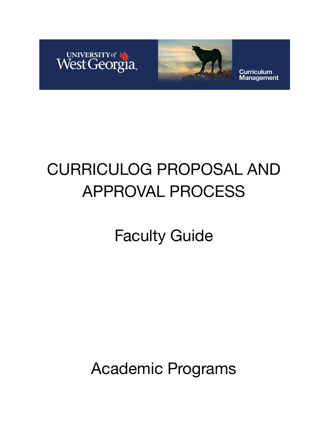



**Curriculum Management** 

# CURRICULOG PROPOSAL AND APPROVAL PROCESS

Faculty Guide

Academic Programs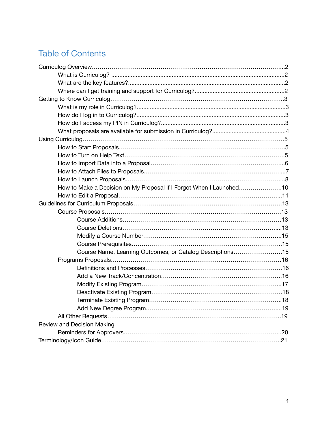### Table of Contents

| How to Make a Decision on My Proposal if I Forgot When I Launched10 |  |
|---------------------------------------------------------------------|--|
|                                                                     |  |
|                                                                     |  |
|                                                                     |  |
|                                                                     |  |
|                                                                     |  |
|                                                                     |  |
|                                                                     |  |
| Course Name, Learning Outcomes, or Catalog Descriptions15           |  |
|                                                                     |  |
|                                                                     |  |
|                                                                     |  |
|                                                                     |  |
|                                                                     |  |
|                                                                     |  |
|                                                                     |  |
|                                                                     |  |
| Review and Decision Making                                          |  |
|                                                                     |  |
|                                                                     |  |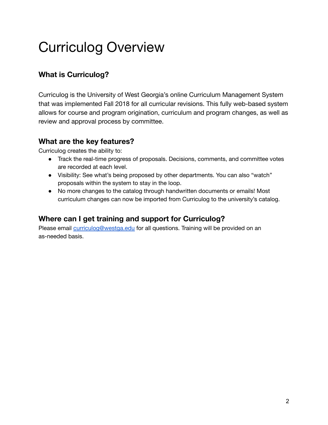## Curriculog Overview

#### **What is Curriculog?**

Curriculog is the University of West Georgia's online Curriculum Management System that was implemented Fall 2018 for all curricular revisions. This fully web-based system allows for course and program origination, curriculum and program changes, as well as review and approval process by committee.

#### **What are the key features?**

Curriculog creates the ability to:

- Track the real-time progress of proposals. Decisions, comments, and committee votes are recorded at each level.
- Visibility: See what's being proposed by other departments. You can also "watch" proposals within the system to stay in the loop.
- No more changes to the catalog through handwritten documents or emails! Most curriculum changes can now be imported from Curriculog to the university's catalog.

#### **Where can I get training and support for Curriculog?**

Please email [curriculog@westga.edu](mailto:curriculog@westga.edu) for all questions. Training will be provided on an as-needed basis.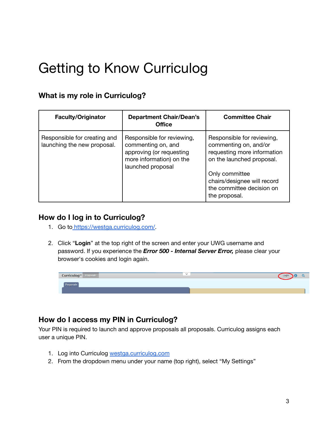### Getting to Know Curriculog

#### **What is my role in Curriculog?**

| <b>Faculty/Originator</b>                                   | <b>Department Chair/Dean's</b><br><b>Office</b>                                                                               | <b>Committee Chair</b>                                                                                                                                                                                         |
|-------------------------------------------------------------|-------------------------------------------------------------------------------------------------------------------------------|----------------------------------------------------------------------------------------------------------------------------------------------------------------------------------------------------------------|
| Responsible for creating and<br>launching the new proposal. | Responsible for reviewing,<br>commenting on, and<br>approving (or requesting<br>more information) on the<br>launched proposal | Responsible for reviewing,<br>commenting on, and/or<br>requesting more information<br>on the launched proposal.<br>Only committee<br>chairs/designee will record<br>the committee decision on<br>the proposal. |

#### **How do I log in to Curriculog?**

- 1. G[o](https://westga.curriculog.com) to https://westga.curriculog.com/.
- 2. Click "**Login**" at the top right of the screen and enter your UWG username and password. If you experience the *Error 500 - Internal Server Error,* please clear your browser's cookies and login again.

| Curriculoa™<br>Proposals | $\checkmark$ | _or |  |
|--------------------------|--------------|-----|--|
| Lindhow                  |              |     |  |
|                          |              |     |  |

#### **How do I access my PIN in Curriculog?**

Your PIN is required to launch and approve proposals all proposals. Curriculog assigns each user a unique PIN.

- 1. Log into Curriculog [westga.curriculog.com](https://westga.curriculog.com/)
- 2. From the dropdown menu under your name (top right), select "My Settings"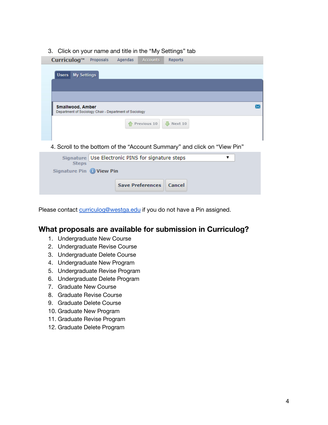3. Click on your name and title in the "My Settings" tab

| Curriculog™                                                                        | Proposals                                           | Agendas | <b>Accounts</b> | <b>Reports</b>        |  |  |
|------------------------------------------------------------------------------------|-----------------------------------------------------|---------|-----------------|-----------------------|--|--|
| <b>Users</b> My Settings                                                           |                                                     |         |                 |                       |  |  |
|                                                                                    |                                                     |         |                 |                       |  |  |
|                                                                                    |                                                     |         |                 |                       |  |  |
| <b>Smallwood, Amber</b><br>Department of Sociology Chair - Department of Sociology |                                                     |         |                 |                       |  |  |
|                                                                                    |                                                     |         | Previous 10     | $\frac{1}{2}$ Next 10 |  |  |
|                                                                                    |                                                     |         |                 |                       |  |  |
| 4. Scroll to the bottom of the "Account Summary" and click on "View Pin"           |                                                     |         |                 |                       |  |  |
|                                                                                    | Signature   Use Electronic PINS for signature steps |         |                 |                       |  |  |
| <b>Steps</b><br>Signature Pin (b) View Pin                                         |                                                     |         |                 |                       |  |  |

Please contact [curriculog@westga.edu](mailto:curriculog@westga.edu) if you do not have a Pin assigned.

**Save Preferences** 

Cancel

#### **What proposals are available for submission in Curriculog?**

- 1. Undergraduate New Course
- 2. Undergraduate Revise Course
- 3. Undergraduate Delete Course
- 4. Undergraduate New Program
- 5. Undergraduate Revise Program
- 6. Undergraduate Delete Program
- 7. Graduate New Course
- 8. Graduate Revise Course
- 9. Graduate Delete Course
- 10. Graduate New Program
- 11. Graduate Revise Program
- 12. Graduate Delete Program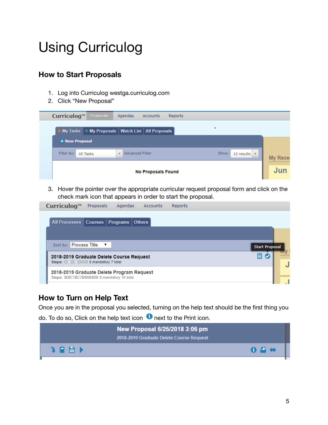## Using Curriculog

#### **How to Start Proposals**

- 1. Log into Curriculog westga.curriculog.com
- 2. Click "New Proposal"

| Curriculog™           | Proposals | Agendas                                            | Accounts                              | <b>Reports</b> |       |                            |                 |
|-----------------------|-----------|----------------------------------------------------|---------------------------------------|----------------|-------|----------------------------|-----------------|
| <b>My Tasks</b>       |           |                                                    | My Proposals Watch List All Proposals |                | ٠     |                            |                 |
| <b>+ New Proposal</b> |           |                                                    |                                       |                |       |                            |                 |
| Filter by:            | All Tasks | <b>Advanced Filter</b><br>$\overline{\phantom{a}}$ |                                       |                | Show: | 10 results $\vert$ $\vert$ | <b>My Recel</b> |
|                       |           |                                                    | <b>No Proposals Found</b>             |                |       |                            | Jun             |

3. Hover the pointer over the appropriate curricular request proposal form and click on the check mark icon that appears in order to start the proposal.

| Curriculog™<br><b>Proposals</b><br>Agendas<br><b>Accounts</b><br>Reports                    |                       |
|---------------------------------------------------------------------------------------------|-----------------------|
| All Processes Courses Programs Others                                                       |                       |
| Sort by: Process Title ▼                                                                    | <b>Start Proposal</b> |
| 2018-2019 Graduate Delete Course Request<br>Steps: <b>EXPENDING</b> 5 mandatory 7 total     | 圓 ⊘                   |
| 2018-2019 Graduate Delete Program Request<br>Steps: <b>ENTERNATION</b> 8 mandatory 10 total |                       |

#### **How to Turn on Help Text**

Once you are in the proposal you selected, turning on the help text should be the first thing you

do. To do so, Click on the help text icon  $\bullet$  next to the Print icon.

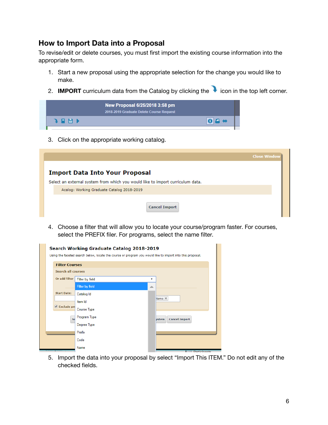#### **How to Import Data into a Proposal**

To revise/edit or delete courses, you must first import the existing course information into the appropriate form.

- 1. Start a new proposal using the appropriate selection for the change you would like to make.
- 2. **IMPORT** curriculum data from the Catalog by clicking the icon in the top left corner.

| 2018-2019 Graduate Delete Course Request |  |
|------------------------------------------|--|
| 198 N<br><b>AD</b>                       |  |

3. Click on the appropriate working catalog.

|                                                                                | <b>Close Window</b> |
|--------------------------------------------------------------------------------|---------------------|
| <b>Import Data Into Your Proposal</b>                                          |                     |
| Select an external system from which you would like to import curriculum data. |                     |
| Acalog: Working Graduate Catalog 2018-2019                                     |                     |
| <b>Cancel Import</b>                                                           |                     |

4. Choose a filter that will allow you to locate your course/program faster. For courses, select the PREFIX filer. For programs, select the name filter.

|                           | Search Working Graduate Catalog 2018-2019<br>Using the faceted search below, locate the course or program you would like to import into this proposal. |   |        |                      |
|---------------------------|--------------------------------------------------------------------------------------------------------------------------------------------------------|---|--------|----------------------|
| <b>Filter Courses</b>     |                                                                                                                                                        |   |        |                      |
| <b>Search all courses</b> |                                                                                                                                                        |   |        |                      |
| Or add filter             | Filter by field                                                                                                                                        | ▼ |        |                      |
|                           | <b>Filter by field</b>                                                                                                                                 | ∸ |        |                      |
| <b>Start Date:</b>        | Catalog Id                                                                                                                                             |   |        |                      |
|                           | Item Id                                                                                                                                                |   | Name X |                      |
| Exclude pre               | <b>Course Type</b>                                                                                                                                     |   |        |                      |
| $S_6$                     | Program Type                                                                                                                                           |   | ystem  | <b>Cancel Import</b> |
|                           | Degree Type                                                                                                                                            |   |        |                      |
|                           | Prefix                                                                                                                                                 |   |        |                      |
|                           | Code                                                                                                                                                   |   |        |                      |
| <u>u uauriprivit</u>      | Name                                                                                                                                                   |   |        | <b>Participante</b>  |

5. Import the data into your proposal by select "Import This ITEM." Do not edit any of the checked fields.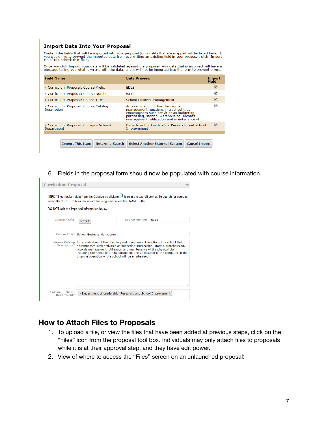#### **Import Data Into Your Proposal**

Confirm the fields that will be imported into your proposal (only fields that are mapped will be listed here). If<br>you would like to prevent the imported data from overwriting an existing field in your proposal, click "Impo

Once you click Import, your data will be validated against the proposal. Any data that is incorrect will have a<br>message telling you what is wrong with the data, and it will not be imported into the form to prevent errors.

| <b>Field Name</b>                                      | <b>Data Preview</b>                                                                                                                                                                                                 | Import<br>Field |
|--------------------------------------------------------|---------------------------------------------------------------------------------------------------------------------------------------------------------------------------------------------------------------------|-----------------|
| » Curriculum Proposal: Course Prefix                   | <b>EDLE</b>                                                                                                                                                                                                         |                 |
| » Curriculum Proposal: Course Number                   | 6314                                                                                                                                                                                                                | ✔               |
| » Curriculum Proposal: Course Title                    | School Business Management                                                                                                                                                                                          | ✔               |
| » Curriculum Proposal: Course Catalog<br>Description   | An examination of the planning and<br>management functions in a school that<br>encompasses such activities as budgeting,<br>purchasing, storing, warehousing, records<br>management, utilization and maintenance of |                 |
| » Curriculum Proposal: College - School/<br>Department | Department of Leadership, Research, and School<br>Improvement                                                                                                                                                       |                 |
|                                                        |                                                                                                                                                                                                                     |                 |
| <b>Return to Search</b><br><b>Import This Item</b>     | <b>Cancel Import</b><br><b>Select Another External System</b>                                                                                                                                                       |                 |

6. Fields in the proposal form should now be populated with course information.

| <b>Curriculum Proposal</b>       |                                                                                                                                                                                                                                                                                                                                                                                           |                     |  |
|----------------------------------|-------------------------------------------------------------------------------------------------------------------------------------------------------------------------------------------------------------------------------------------------------------------------------------------------------------------------------------------------------------------------------------------|---------------------|--|
|                                  | IMPORT curriculum data from the Catalog by clicking vicon in the top left corner. To search for courses<br>select the "PREFIX" filter. To search for programs select the "NAME" filter.<br>DO NOT edit the imported information below.                                                                                                                                                    |                     |  |
| <b>Course Prefix*</b>            | $\times$ FDI F                                                                                                                                                                                                                                                                                                                                                                            | Course Number* 6314 |  |
|                                  | Course Title* School Business Management                                                                                                                                                                                                                                                                                                                                                  |                     |  |
| Description*                     | Course Catalog An examination of the planning and management functions in a school that<br>encompasses such activities as budgeting, purchasing, storing, warehousing,<br>records management, utilization and maintenance of the physical plant,<br>including the needs of the handicapped. The application of the computer in the<br>ongoing operation of the school will be emphasized. |                     |  |
| College - School/<br>Department* | X Department of Leadership, Research, and School Improvement                                                                                                                                                                                                                                                                                                                              |                     |  |

#### **How to Attach Files to Proposals**

- 1. To upload a file, or view the files that have been added at previous steps, click on the "Files" icon from the proposal tool box. Individuals may only attach files to proposals while it is at their approval step, and they have edit power.
- 2. View of where to access the "Files" screen on an unlaunched proposal: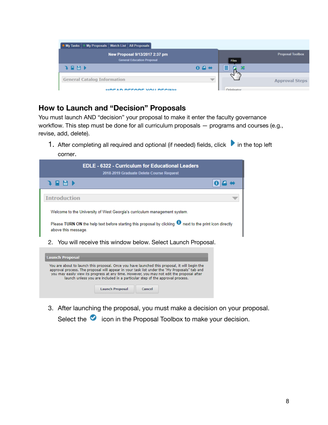

#### **How to Launch and "Decision" Proposals**

You must launch AND "decision" your proposal to make it enter the faculty governance workflow. This step must be done for all curriculum proposals — programs and courses (e.g., revise, add, delete).

1. After completing all required and optional (if needed) fields, click  $\blacktriangleright$  in the top left corner.



|                                                                             | <b>Launch Proposal</b> | <b>Cancel</b> |  |  |
|-----------------------------------------------------------------------------|------------------------|---------------|--|--|
| 3. After launching the proposal, you must make a decision on your proposal. |                        |               |  |  |

launch unless you are included in a particular step of the approval process.

Select the  $\bullet$  icon in the Proposal Toolbox to make your decision.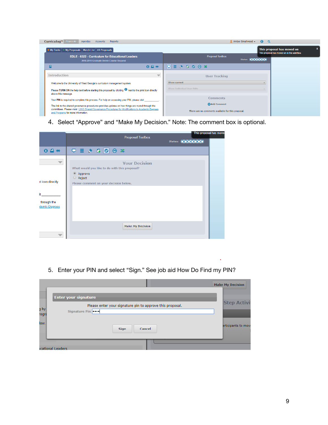| Curriculoq <sup>m</sup><br><b>Proposals</b><br>Agendas<br>Reports<br>Accounts                                                                                                                                                                | Amber Smallwood -<br>$\alpha$<br>$\mathbf{a}$                            |                                                                           |
|----------------------------------------------------------------------------------------------------------------------------------------------------------------------------------------------------------------------------------------------|--------------------------------------------------------------------------|---------------------------------------------------------------------------|
| My Proposals   Watch List   All Proposals<br><b>My Tasks</b>                                                                                                                                                                                 |                                                                          | This proposal has moved on<br>This proposal has moved on in the workflow. |
| <b>EDLE - 6322 - Curriculum for Educational Leaders</b><br>2018-2019 Graduate Delete Course Request                                                                                                                                          | <b>Proposal Toolbox</b><br>Status: 0000000                               |                                                                           |
| я<br>$0.4 +$                                                                                                                                                                                                                                 | $\Box \Box \bullet \bullet \bullet \bullet \bullet \ast$                 |                                                                           |
| <b>Introduction</b><br>$\overline{}$                                                                                                                                                                                                         | <b>User Tracking</b>                                                     |                                                                           |
| Welcome to the University of West Georgia's curriculum management system.                                                                                                                                                                    | Show current                                                             |                                                                           |
| Please TURN ON the help text before starting this proposal by clicking <sup>1</sup> next to the print icon directly<br>above this message.                                                                                                   | Show Individual User Edits                                               |                                                                           |
| Your PIN is required to complete this process. For help on accessing your PIN, please visit                                                                                                                                                  | <b>Comments</b>                                                          |                                                                           |
| The link to the shared governance procedures provides updates on how things are routed through the<br>committees. Please visist UWG Shared Governance Procedures for Modifications to Academic Degrees<br>and Programs for more information. | <b>Add Comment</b><br>There are no comments available for this proposal. |                                                                           |

4. Select "Approve" and "Make My Decision." Note: The comment box is optional.



5. Enter your PIN and select "Sign." See job aid How Do Find my PIN?

|               |                                                                            | <b>Make My Decision</b> |
|---------------|----------------------------------------------------------------------------|-------------------------|
|               | <b>Enter your signature</b>                                                | <b>Step Activit</b>     |
| g by<br>rogra | Please enter your signature pin to approve this proposal.<br>Signature Pin |                         |
| low.          | Cancel<br><b>Sign</b>                                                      | articipants to move     |
|               | <b>Icational Leaders</b>                                                   |                         |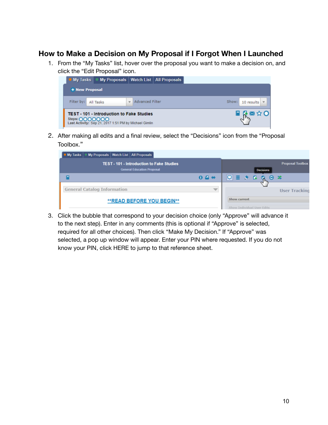#### **How to Make a Decision on My Proposal if I Forgot When I Launched**

1. From the "My Tasks" list, hover over the proposal you want to make a decision on, and click the "Edit Proposal" icon.

| <b>My Tasks My Proposals Watch List All Proposals</b>                                                                       |                   |                                          |
|-----------------------------------------------------------------------------------------------------------------------------|-------------------|------------------------------------------|
| + New Proposal                                                                                                              |                   |                                          |
| Filter by: All Tasks                                                                                                        | v Advanced Filter | Show: 10 results $\mathbf{\overline{v}}$ |
| <b>TEST - 101 - Introduction to Fake Studies</b><br>Steps: 0000000<br>Last Activity: Sep 21, 2017 1:51 PM by Michael Gimlin |                   | 【図☆○】                                    |

2. After making all edits and a final review, select the "Decisions" icon from the "Proposal Toolbox."

| My Proposals Watch List All Proposals<br><b>My Tasks</b>                              |         |                                             |
|---------------------------------------------------------------------------------------|---------|---------------------------------------------|
| <b>TEST - 101 - Introduction to Fake Studies</b><br><b>General Education Proposal</b> |         | <b>Proposal Toolbox</b><br><b>Decisions</b> |
|                                                                                       | $0 - 4$ | ♡ 를 き ほ<br>Θх<br>м                          |
| <b>General Catalog Information</b>                                                    |         | <b>User Tracking</b>                        |
| <b>**READ BEFORE YOU BEGIN**</b>                                                      |         | Show current<br>Show Individual User Edits  |

3. Click the bubble that correspond to your decision choice (only "Approve" will advance it to the next step). Enter in any comments (this is optional if "Approve" is selected, required for all other choices). Then click "Make My Decision." If "Approve" was selected, a pop up window will appear. Enter your PIN where requested. If you do not know your PIN, click HERE to jump to that reference sheet.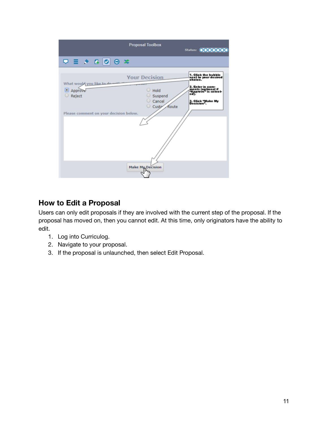

#### **How to Edit a Proposal**

Users can only edit proposals if they are involved with the current step of the proposal. If the proposal has moved on, then you cannot edit. At this time, only originators have the ability to edit.

- 1. Log into Curriculog.
- 2. Navigate to your proposal.
- 3. If the proposal is unlaunched, then select Edit Proposal.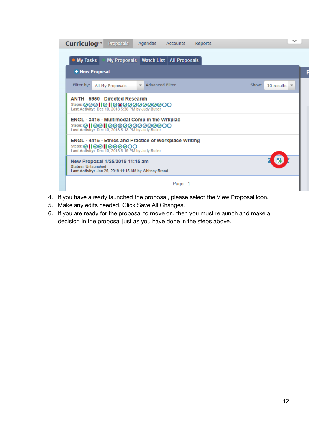

- 4. If you have already launched the proposal, please select the View Proposal icon.
- 5. Make any edits needed. Click Save All Changes.
- 6. If you are ready for the proposal to move on, then you must relaunch and make a decision in the proposal just as you have done in the steps above.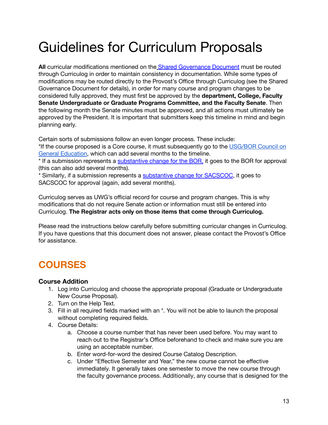## Guidelines for Curriculum Proposals

**All** curricular modifications mentioned on the Shared [Governance](https://www.westga.edu/administration/vpaa/assets/docs/faculty-resources/UWG_Shared_Governance_Procedures_for_Modifications_to_Academic_Programs_Final_Adopted_by_the_senate_9March2012.pdf) Document must be routed through Curriculog in order to maintain consistency in documentation. While some types of modifications may be routed directly to the Provost's Office through Curriculog (see the Shared Governance Document for details), in order for many course and program changes to be considered fully approved, they must first be approved by the **department, College, Faculty Senate Undergraduate or Graduate Programs Committee, and the Faculty Senate**. Then the following month the Senate minutes must be approved, and all actions must ultimately be approved by the President. It is important that submitters keep this timeline in mind and begin planning early.

Certain sorts of submissions follow an even longer process. These include:

\*If the course proposed is a Core course, it must subsequently go to the [USG/BOR](https://www.usg.edu/assets/academic_partnerships_accreditation/committee_docs/documents/about_gen_ed_council.pdf) Council on General [Education,](https://www.usg.edu/assets/academic_partnerships_accreditation/committee_docs/documents/about_gen_ed_council.pdf) which can add several months to the timeline.

\* If a submission represents a [substantive](https://www.westga.edu/administration/president/sacscoc/substantive-change.php) change for the BOR, it goes to the BOR for approval (this can also add several months).

\* Similarly, if a submission represents a [substantive](https://www.westga.edu/administration/president/sacscoc/substantive-change.php) change for SACSCOC, it goes to SACSCOC for approval (again, add several months).

Curriculog serves as UWG's official record for course and program changes. This is why modifications that do not require Senate action or information must still be entered into Curriculog. **The Registrar acts only on those items that come through Curriculog.**

Please read the instructions below carefully before submitting curricular changes in Curriculog. If you have questions that this document does not answer, please contact the Provost's Office for assistance.

### **COURSES**

#### **Course Addition**

- 1. Log into Curriculog and choose the appropriate proposal (Graduate or Undergraduate New Course Proposal).
- 2. Turn on the Help Text.
- 3. Fill in all required fields marked with an \*. You will not be able to launch the proposal without completing required fields.
- 4. Course Details:
	- a. Choose a course number that has never been used before. You may want to reach out to the Registrar's Office beforehand to check and make sure you are using an acceptable number.
	- b. Enter word-for-word the desired Course Catalog Description.
	- c. Under "Effective Semester and Year," the new course cannot be effective immediately. It generally takes one semester to move the new course through the faculty governance process. Additionally, any course that is designed for the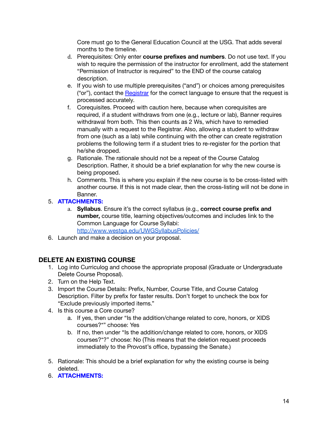Core must go to the General Education Council at the USG. That adds several months to the timeline.

- d. Prerequisites: Only enter **course prefixes and numbers**. Do not use text. If you wish to require the permission of the instructor for enrollment, add the statement "Permission of Instructor is required" to the END of the course catalog description.
- e. If you wish to use multiple prerequisites ("and") or choices among prerequisites ("or"), contact the [Registrar](mailto:registra@westga.edu) for the correct language to ensure that the request is processed accurately.
- f. Corequisites. Proceed with caution here, because when corequisites are required, if a student withdraws from one (e.g., lecture or lab), Banner requires withdrawal from both. This then counts as 2 Ws, which have to remedied manually with a request to the Registrar. Also, allowing a student to withdraw from one (such as a lab) while continuing with the other can create registration problems the following term if a student tries to re-register for the portion that he/she dropped.
- g. Rationale. The rationale should not be a repeat of the Course Catalog Description. Rather, it should be a brief explanation for why the new course is being proposed.
- h. Comments. This is where you explain if the new course is to be cross-listed with another course. If this is not made clear, then the cross-listing will not be done in Banner.

#### 5. **ATTACHMENTS:**

- a. **Syllabus**. Ensure it's the correct syllabus (e.g., **correct course prefix and number,** course title, learning objectives/outcomes and includes link to the Common Language for Course Syllabi: <http://www.westga.edu/UWGSyllabusPolicies/>
- 6. Launch and make a decision on your proposal.

#### **DELETE AN EXISTING COURSE**

- 1. Log into Curriculog and choose the appropriate proposal (Graduate or Undergraduate Delete Course Proposal).
- 2. Turn on the Help Text.
- 3. Import the Course Details: Prefix, Number, Course Title, and Course Catalog Description. Filter by prefix for faster results. Don't forget to uncheck the box for "Exclude previously imported items."
- 4. Is this course a Core course?
	- a. If yes, then under "Is the addition/change related to core, honors, or XIDS courses?\*" choose: Yes
	- b. If no, then under "Is the addition/change related to core, honors, or XIDS courses?\*?" choose: No (This means that the deletion request proceeds immediately to the Provost's office, bypassing the Senate.)
- 5. Rationale: This should be a brief explanation for why the existing course is being deleted.
- 6. **ATTACHMENTS:**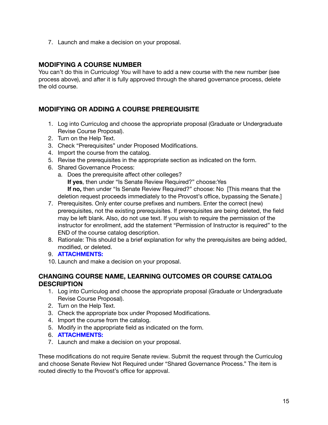7. Launch and make a decision on your proposal.

#### **MODIFYING A COURSE NUMBER**

You can't do this in Curriculog! You will have to add a new course with the new number (see process above), and after it is fully approved through the shared governance process, delete the old course.

#### **MODIFYING OR ADDING A COURSE PREREQUISITE**

- 1. Log into Curriculog and choose the appropriate proposal (Graduate or Undergraduate Revise Course Proposal).
- 2. Turn on the Help Text.
- 3. Check "Prerequisites" under Proposed Modifications.
- 4. Import the course from the catalog.
- 5. Revise the prerequisites in the appropriate section as indicated on the form.
- 6. Shared Governance Process:
	- a. Does the prerequisite affect other colleges? **If yes**, then under "Is Senate Review Required?" choose:Yes **If no,** then under "Is Senate Review Required?" choose: No [This means that the deletion request proceeds immediately to the Provost's office, bypassing the Senate.]
- 7. Prerequisites. Only enter course prefixes and numbers. Enter the correct (new) prerequisites, not the existing prerequisites. If prerequisites are being deleted, the field may be left blank. Also, do not use text. If you wish to require the permission of the instructor for enrollment, add the statement "Permission of Instructor is required" to the END of the course catalog description.
- 8. Rationale: This should be a brief explanation for why the prerequisites are being added, modified, or deleted.
- 9. **ATTACHMENTS:**
- 10. Launch and make a decision on your proposal.

#### **CHANGING COURSE NAME, LEARNING OUTCOMES OR COURSE CATALOG DESCRIPTION**

- 1. Log into Curriculog and choose the appropriate proposal (Graduate or Undergraduate Revise Course Proposal).
- 2. Turn on the Help Text.
- 3. Check the appropriate box under Proposed Modifications.
- 4. Import the course from the catalog.
- 5. Modify in the appropriate field as indicated on the form.
- 6. **ATTACHMENTS:**
- 7. Launch and make a decision on your proposal.

These modifications do not require Senate review. Submit the request through the Curriculog and choose Senate Review Not Required under "Shared Governance Process." The item is routed directly to the Provost's office for approval.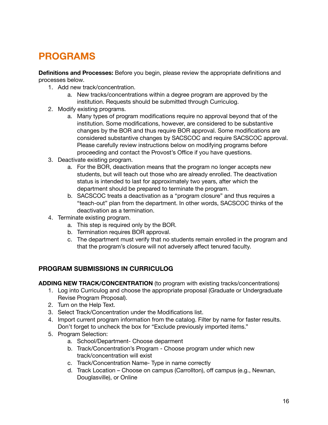### **PROGRAMS**

**Definitions and Processes:** Before you begin, please review the appropriate definitions and processes below.

- 1. Add new track/concentration.
	- a. New tracks/concentrations within a degree program are approved by the institution. Requests should be submitted through Curriculog.
- 2. Modify existing programs.
	- a. Many types of program modifications require no approval beyond that of the institution. Some modifications, however, are considered to be substantive changes by the BOR and thus require BOR approval. Some modifications are considered substantive changes by SACSCOC and require SACSCOC approval. Please carefully review instructions below on modifying programs before proceeding and contact the Provost's Office if you have questions.
- 3. Deactivate existing program.
	- a. For the BOR, deactivation means that the program no longer accepts new students, but will teach out those who are already enrolled. The deactivation status is intended to last for approximately two years, after which the department should be prepared to terminate the program.
	- b. SACSCOC treats a deactivation as a "program closure" and thus requires a "teach-out" plan from the department. In other words, SACSCOC thinks of the deactivation as a termination.
- 4. Terminate existing program.
	- a. This step is required only by the BOR.
	- b. Termination requires BOR approval.
	- c. The department must verify that no students remain enrolled in the program and that the program's closure will not adversely affect tenured faculty.

#### **PROGRAM SUBMISSIONS IN CURRICULOG**

**ADDING NEW TRACK/CONCENTRATION** (to program with existing tracks/concentrations)

- 1. Log into Curriculog and choose the appropriate proposal (Graduate or Undergraduate Revise Program Proposal).
- 2. Turn on the Help Text.
- 3. Select Track/Concentration under the Modifications list.
- 4. Import current program information from the catalog. Filter by name for faster results. Don't forget to uncheck the box for "Exclude previously imported items."
- 5. Program Selection:
	- a. School/Department- Choose deparment
	- b. Track/Concentration's Program Choose program under which new track/concentration will exist
	- c. Track/Concentration Name- Type in name correctly
	- d. Track Location Choose on campus (Carrollton), off campus (e.g., Newnan, Douglasville), or Online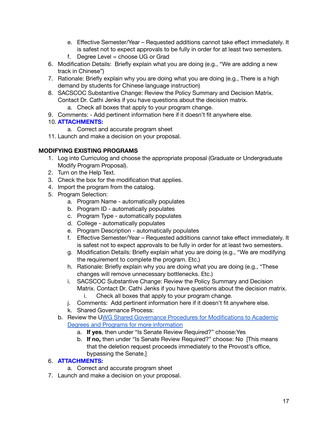- e. Effective Semester/Year Requested additions cannot take effect immediately. It is safest not to expect approvals to be fully in order for at least two semesters.
- f. Degree Level = choose UG or Grad
- 6. Modification Details: Briefly explain what you are doing (e.g., "We are adding a new track in Chinese")
- 7. Rationale: Briefly explain why you are doing what you are doing (e.g., There is a high demand by students for Chinese language instruction)
- 8. SACSCOC Substantive Change: Review the Policy Summary and Decision Matrix. Contact Dr. Cathi Jenks if you have questions about the decision matrix.
	- a. Check all boxes that apply to your program change.
- 9. Comments: Add pertinent information here if it doesn't fit anywhere else.

#### 10. **ATTACHMENTS:**

- a. Correct and accurate program sheet
- 11. Launch and make a decision on your proposal.

#### **MODIFYING EXISTING PROGRAMS**

- 1. Log into Curriculog and choose the appropriate proposal (Graduate or Undergraduate Modify Program Proposal).
- 2. Turn on the Help Text.
- 3. Check the box for the modification that applies.
- 4. Import the program from the catalog.
- 5. Program Selection:
	- a. Program Name automatically populates
	- b. Program ID automatically populates
	- c. Program Type automatically populates
	- d. College automatically populates
	- e. Program Description automatically populates
	- f. Effective Semester/Year Requested additions cannot take effect immediately. It is safest not to expect approvals to be fully in order for at least two semesters.
	- g. Modification Details: Briefly explain what you are doing (e.g., "We are modifying the requirement to complete the program. Etc.)
	- h. Rationale: Briefly explain why you are doing what you are doing (e.g., "These changes will remove unnecessary bottlenecks. Etc.)
	- i. SACSCOC Substantive Change: Review the Policy Summary and Decision Matrix. Contact Dr. Cathi Jenks if you have questions about the decision matrix.
		- i. Check all boxes that apply to your program change.
	- j. Comments: Add pertinent information here if it doesn't fit anywhere else.
	- k. Shared Governance Process:
	- b. Review the UWG Shared Governance Procedures for [Modifications](https://www.westga.edu/administration/vpaa/assets/docs/faculty-resources/UWG_Shared_Governance_Procedures_for_Modifications_to_Academic_Programs_Final_Adopted_by_the_senate_9March2012.pdf) to Academic Degrees and Programs for more [information](https://www.westga.edu/administration/vpaa/assets/docs/faculty-resources/UWG_Shared_Governance_Procedures_for_Modifications_to_Academic_Programs_Final_Adopted_by_the_senate_9March2012.pdf)
		- a. **If yes**, then under "Is Senate Review Required?" choose:Yes
		- b. **If no,** then under "Is Senate Review Required?" choose: No [This means that the deletion request proceeds immediately to the Provost's office, bypassing the Senate.]

#### 6. **ATTACHMENTS:**

- a. Correct and accurate program sheet
- 7. Launch and make a decision on your proposal.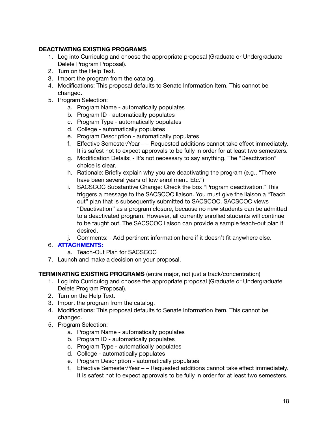#### **DEACTIVATING EXISTING PROGRAMS**

- 1. Log into Curriculog and choose the appropriate proposal (Graduate or Undergraduate Delete Program Proposal).
- 2. Turn on the Help Text.
- 3. Import the program from the catalog.
- 4. Modifications: This proposal defaults to Senate Information Item. This cannot be changed.
- 5. Program Selection:
	- a. Program Name automatically populates
	- b. Program ID automatically populates
	- c. Program Type automatically populates
	- d. College automatically populates
	- e. Program Description automatically populates
	- f. Effective Semester/Year – Requested additions cannot take effect immediately. It is safest not to expect approvals to be fully in order for at least two semesters.
	- g. Modification Details: It's not necessary to say anything. The "Deactivation" choice is clear.
	- h. Rationale: Briefly explain why you are deactivating the program (e.g., "There have been several years of low enrollment. Etc.")
	- i. SACSCOC Substantive Change: Check the box "Program deactivation." This triggers a message to the SACSCOC liaison. You must give the liaison a "Teach out" plan that is subsequently submitted to SACSCOC. SACSCOC views "Deactivation" as a program closure, because no new students can be admitted to a deactivated program. However, all currently enrolled students will continue to be taught out. The SACSCOC liaison can provide a sample teach-out plan if desired.
	- j. Comments: Add pertinent information here if it doesn't fit anywhere else.

#### 6. **ATTACHMENTS:**

- a. Teach-Out Plan for SACSCOC
- 7. Launch and make a decision on your proposal.

#### **TERMINATING EXISTING PROGRAMS** (entire major, not just a track/concentration)

- 1. Log into Curriculog and choose the appropriate proposal (Graduate or Undergraduate Delete Program Proposal).
- 2. Turn on the Help Text.
- 3. Import the program from the catalog.
- 4. Modifications: This proposal defaults to Senate Information Item. This cannot be changed.
- 5. Program Selection:
	- a. Program Name automatically populates
	- b. Program ID automatically populates
	- c. Program Type automatically populates
	- d. College automatically populates
	- e. Program Description automatically populates
	- f. Effective Semester/Year – Requested additions cannot take effect immediately. It is safest not to expect approvals to be fully in order for at least two semesters.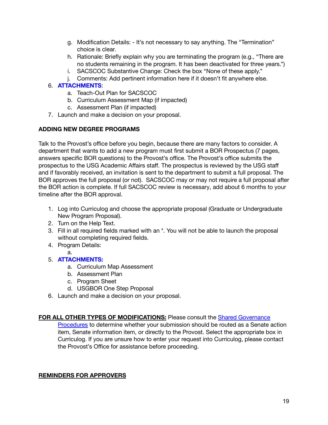- g. Modification Details: It's not necessary to say anything. The "Termination" choice is clear.
- h. Rationale: Briefly explain why you are terminating the program (e.g., "There are no students remaining in the program. It has been deactivated for three years.")
- i. SACSCOC Substantive Change: Check the box "None of these apply."
- j. Comments: Add pertinent information here if it doesn't fit anywhere else.

#### 6. **ATTACHMENTS**:

- a. Teach-Out Plan for SACSCOC
- b. Curriculum Assessment Map (if impacted)
- c. Assessment Plan (if impacted)
- 7. Launch and make a decision on your proposal.

#### **ADDING NEW DEGREE PROGRAMS**

Talk to the Provost's office before you begin, because there are many factors to consider. A department that wants to add a new program must first submit a BOR Prospectus (7 pages, answers specific BOR questions) to the Provost's office. The Provost's office submits the prospectus to the USG Academic Affairs staff. The prospectus is reviewed by the USG staff and if favorably received, an invitation is sent to the department to submit a full proposal. The BOR approves the full proposal (or not). SACSCOC may or may not require a full proposal after the BOR action is complete. If full SACSCOC review is necessary, add about 6 months to your timeline after the BOR approval.

- 1. Log into Curriculog and choose the appropriate proposal (Graduate or Undergraduate New Program Proposal).
- 2. Turn on the Help Text.
- 3. Fill in all required fields marked with an \*. You will not be able to launch the proposal without completing required fields.
- 4. Program Details:
	- a.
- 5. **ATTACHMENTS:**
	- a. Curriculum Map Assessment
	- b. Assessment Plan
	- c. Program Sheet
	- d. USGBOR One Step Proposal
- 6. Launch and make a decision on your proposal.

#### **FOR ALL OTHER TYPES OF MODIFICATIONS:** Please consult the Shared [Governance](http://www.westga.edu/assetsDept/vpaa/UWG_Shared_Governance_Procedures_for_Modifications_to_Academic_Programs_Final_Adopted_by_the_senate_9March2012.pdf)

[Procedures](http://www.westga.edu/assetsDept/vpaa/UWG_Shared_Governance_Procedures_for_Modifications_to_Academic_Programs_Final_Adopted_by_the_senate_9March2012.pdf) to determine whether your submission should be routed as a Senate action item, Senate information item, or directly to the Provost. Select the appropriate box in Curriculog. If you are unsure how to enter your request into Curriculog, please contact the Provost's Office for assistance before proceeding.

#### **REMINDERS FOR APPROVERS**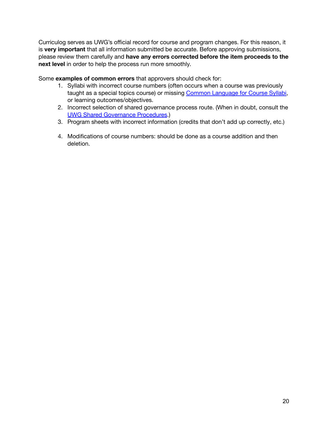Curriculog serves as UWG's official record for course and program changes. For this reason, it is **very important** that all information submitted be accurate. Before approving submissions, please review them carefully and **have any errors corrected before the item proceeds to the next level** in order to help the process run more smoothly.

Some **examples of common errors** that approvers should check for:

- 1. Syllabi with incorrect course numbers (often occurs when a course was previously taught as a special topics course) or missing Common [Language](http://www.westga.edu/assetsDept/vpaa/Common_Language_for_Course_Syllabi.pdf) for Course Syllabi, or learning outcomes/objectives.
- 2. Incorrect selection of shared governance process route. (When in doubt, consult the UWG Shared [Governance](http://www.westga.edu/assetsDept/vpaa/UWG_Shared_Governance_Procedures_for_Modifications_to_Academic_Programs_Final_Adopted_by_the_senate_9March2012.pdf) Procedures.)
- 3. Program sheets with incorrect information (credits that don't add up correctly, etc.)
- 4. Modifications of course numbers: should be done as a course addition and then deletion.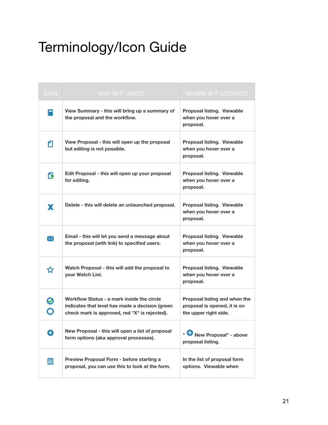## Terminology/Icon Guide

| <b>ICON</b> | WHY IS IT USED?                                                                                                                                | <b>WHERE IS IT LOCATED?</b>                                                            |
|-------------|------------------------------------------------------------------------------------------------------------------------------------------------|----------------------------------------------------------------------------------------|
| 扫           | View Summary - this will bring up a summary of<br>the proposal and the workflow.                                                               | <b>Proposal listing. Viewable</b><br>when you hover over a<br>proposal.                |
| п           | View Proposal - this will open up the proposal<br>but editing is not possible.                                                                 | Proposal listing. Viewable<br>when you hover over a<br>proposal.                       |
| ß           | Edit Proposal - this will open up your proposal<br>for editing.                                                                                | Proposal listing. Viewable<br>when you hover over a<br>proposal.                       |
| x           | Delete - this will delete an unlaunched proposal.                                                                                              | <b>Proposal listing. Viewable</b><br>when you hover over a<br>proposal.                |
| ⋈           | Email - this will let you send a message about<br>the proposal (with link) to specified users.                                                 | <b>Proposal listing. Viewable</b><br>when you hover over a<br>proposal.                |
| ☆           | Watch Proposal - this will add the proposal to<br>your Watch List.                                                                             | Proposal listing. Viewable<br>when you hover over a<br>proposal.                       |
| Ó           | Workflow Status - a mark inside the circle<br>indicates that level has made a decision (green<br>check mark is approved, red "X" is rejected). | Proposal listing and when the<br>proposal is opened, it is on<br>the upper right side. |
| o           | New Proposal - this will open a list of proposal<br>form options (aka approval processes).                                                     | New Proposal" - above<br>proposal listing.                                             |
| 冒           | Preview Proposal Form - before starting a<br>proposal, you can use this to look at the form.                                                   | In the list of proposal form<br>options. Viewable when                                 |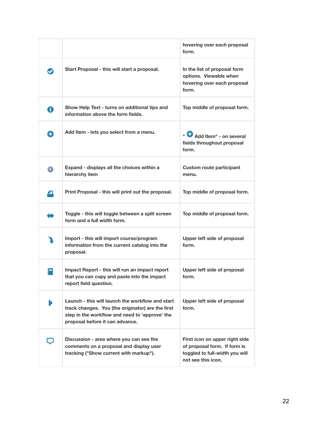|   |                                                                                                                                                                                            | hovering over each proposal<br>form.                                                                                   |
|---|--------------------------------------------------------------------------------------------------------------------------------------------------------------------------------------------|------------------------------------------------------------------------------------------------------------------------|
|   | Start Proposal - this will start a proposal.                                                                                                                                               | In the list of proposal form<br>options. Viewable when<br>hovering over each proposal<br>form.                         |
| A | Show Help Text - turns on additional tips and<br>information above the form fields.                                                                                                        | Top middle of proposal form.                                                                                           |
| ω | Add Item - lets you select from a menu.                                                                                                                                                    | " Add Item" - on several<br>fields throughout proposal<br>form.                                                        |
| o | Expand - displays all the choices within a<br>hierarchy item                                                                                                                               | <b>Custom route participant</b><br>menu.                                                                               |
| Δ | Print Proposal - this will print out the proposal.                                                                                                                                         | Top middle of proposal form.                                                                                           |
|   | Toggle - this will toggle between a split screen<br>form and a full width form.                                                                                                            | Top middle of proposal form.                                                                                           |
|   | Import - this will import course/program<br>information from the current catalog into the<br>proposal.                                                                                     | Upper left side of proposal<br>form.                                                                                   |
|   | Impact Report - this will run an impact report<br>that you can copy and paste into the impact<br>report field question.                                                                    | Upper left side of proposal<br>form.                                                                                   |
|   | Launch - this will launch the workflow and start<br>track changes. You (the originator) are the first<br>step in the workflow and need to 'approve' the<br>proposal before it can advance. | Upper left side of proposal<br>form.                                                                                   |
|   | Discussion - area where you can see the<br>comments on a proposal and display user<br>tracking ("Show current with markup").                                                               | First icon on upper right side<br>of proposal form. If form is<br>toggled to full-width you will<br>not see this icon. |